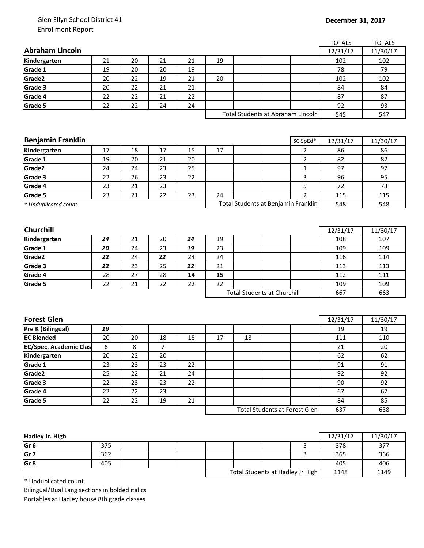## Glen Ellyn School District 41 Enrollment Report

## **December 31, 2017**

|                               |          |    |                          |          |                                   |                                    |                                      |                | <b>TOTALS</b>   | <b>TOTALS</b> |
|-------------------------------|----------|----|--------------------------|----------|-----------------------------------|------------------------------------|--------------------------------------|----------------|-----------------|---------------|
| <b>Abraham Lincoln</b>        |          |    |                          |          |                                   |                                    |                                      |                | 12/31/17        | 11/30/17      |
| Kindergarten                  | 21       | 20 | 21                       | 21       | 19                                |                                    |                                      |                | 102             | 102           |
| Grade 1                       | 19       | 20 | 20                       | 19       |                                   |                                    |                                      |                | 78              | 79            |
| Grade2                        | 20       | 22 | 19                       | 21       | 20                                |                                    |                                      |                | 102             | 102           |
| Grade 3                       | 20       | 22 | 21                       | 21       |                                   |                                    |                                      |                | 84              | 84            |
| Grade 4                       | 22       | 22 | 21                       | 22       |                                   |                                    |                                      |                | 87              | 87            |
| Grade 5                       | 22       | 22 | 24                       | 24       |                                   |                                    |                                      |                | 92              | 93            |
|                               |          |    |                          |          | Total Students at Abraham Lincoln |                                    |                                      | 545            | 547             |               |
|                               |          |    |                          |          |                                   |                                    |                                      |                |                 |               |
|                               |          |    |                          |          |                                   |                                    |                                      |                |                 |               |
| <b>Benjamin Franklin</b>      |          |    |                          |          |                                   |                                    |                                      | SC SpEd*       | 12/31/17        | 11/30/17      |
| Kindergarten                  | 17       | 18 | 17                       | 15       | 17                                |                                    |                                      | $\overline{2}$ | 86              | 86            |
| Grade 1                       | 19       | 20 | 21                       | 20       |                                   |                                    |                                      | $\overline{2}$ | 82              | 82            |
| Grade2                        | 24       | 24 | 23                       | 25       |                                   |                                    |                                      | 1              | 97              | 97            |
| Grade 3                       | 22       | 26 | 23                       | 22       |                                   |                                    |                                      | 3              | 96              | 95            |
| Grade 4                       | 23       | 21 | 23                       |          |                                   |                                    |                                      | 5              | 72              | 73            |
| Grade 5                       | 23       | 21 | 22                       | 23       | 24                                |                                    |                                      | $\overline{2}$ | 115             | 115           |
| * Unduplicated count          |          |    |                          |          |                                   |                                    | Total Students at Benjamin Franklin  |                | 548             | 548           |
|                               |          |    |                          |          |                                   |                                    |                                      |                |                 |               |
| Churchill                     |          |    |                          |          |                                   |                                    |                                      |                |                 |               |
|                               | 24       | 21 | 20                       |          |                                   |                                    |                                      |                | 12/31/17<br>108 | 11/30/17      |
| Kindergarten<br>Grade 1       |          | 24 | 23                       | 24<br>19 | 19<br>23                          |                                    |                                      |                | 109             | 107<br>109    |
| Grade2                        | 20<br>22 | 24 | 22                       | 24       | 24                                |                                    |                                      |                | 116             | 114           |
| Grade 3                       | 22       | 23 | 25                       | 22       | 21                                |                                    |                                      |                | 113             | 113           |
| Grade 4                       | 28       | 27 | 28                       | 14       | 15                                |                                    |                                      |                | 112             | 111           |
|                               |          | 21 |                          |          | 22                                |                                    |                                      |                |                 |               |
| Grade 5                       | 22       |    | 22                       | 22       |                                   | <b>Total Students at Churchill</b> |                                      | 109            | 109             |               |
|                               |          |    |                          |          |                                   |                                    |                                      |                | 667             | 663           |
|                               |          |    |                          |          |                                   |                                    |                                      |                |                 |               |
| <b>Forest Glen</b>            |          |    |                          |          |                                   |                                    |                                      |                | 12/31/17        | 11/30/17      |
| <b>Pre K (Bilingual)</b>      | 19       |    |                          |          |                                   |                                    |                                      |                | 19              | 19            |
| <b>EC Blended</b>             | 20       | 20 | 18                       | 18       | 17                                | 18                                 |                                      |                | 111             | 110           |
| <b>EC/Spec. Academic Clas</b> | 6        | 8  | $\overline{\phantom{a}}$ |          |                                   |                                    |                                      |                | 21              | 20            |
| Kindergarten                  | 20       | 22 | 20                       |          |                                   |                                    |                                      |                | 62              | 62            |
| Grade 1                       | 23       | 23 | 23                       | 22       |                                   |                                    |                                      |                | 91              | 91            |
| Grade2                        | 25       | 22 | 21                       | 24       |                                   |                                    |                                      |                | 92              | 92            |
| Grade 3                       |          | 23 | 23                       | 22       |                                   |                                    |                                      |                | 90              | 92            |
| Grade 4                       | 22       |    |                          |          |                                   |                                    |                                      |                |                 | 67            |
| Grade 5                       | 22       | 22 | 23                       |          |                                   |                                    |                                      |                | 67              |               |
|                               | 22       | 22 | 19                       | 21       |                                   |                                    |                                      |                | 84              | 85            |
|                               |          |    |                          |          |                                   |                                    | <b>Total Students at Forest Glen</b> |                | 637             | 638           |
|                               |          |    |                          |          |                                   |                                    |                                      |                |                 |               |

| Hadley Jr. High |     |  |                                  |  |      | 12/31/17 | 11/30/17 |
|-----------------|-----|--|----------------------------------|--|------|----------|----------|
| Gr <sub>6</sub> | 375 |  |                                  |  |      | 378      | 377      |
| Gr <sub>7</sub> | 362 |  |                                  |  |      | 365      | 366      |
| Gr <sub>8</sub> | 405 |  |                                  |  |      | 405      | 406      |
|                 |     |  | Total Students at Hadley Jr High |  | 1148 | 1149     |          |

\* Unduplicated count

Bilingual/Dual Lang sections in bolded italics Portables at Hadley house 8th grade classes